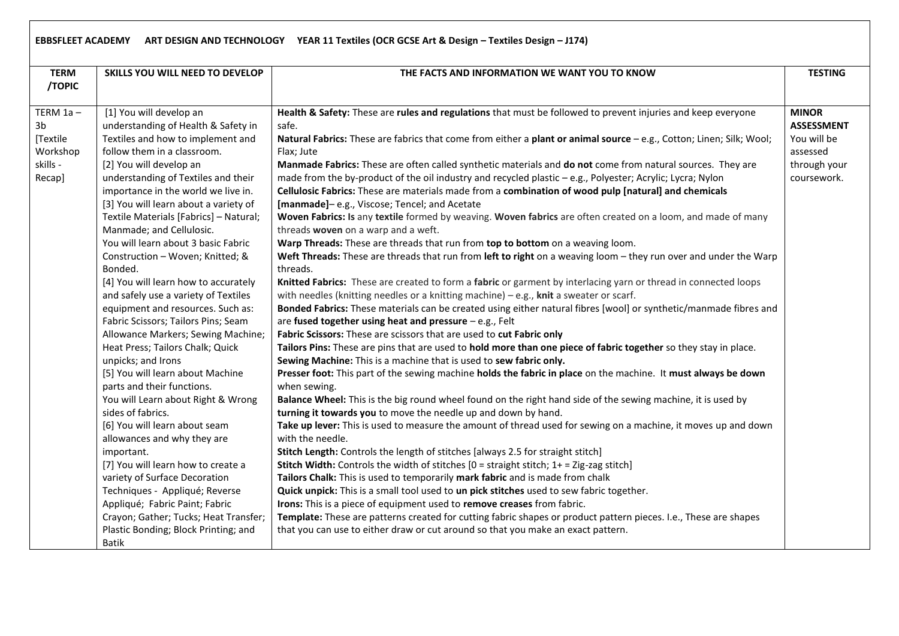## **EBBSFLEET ACADEMY ART DESIGN AND TECHNOLOGY YEAR 11 Textiles (OCR GCSE Art & Design – Textiles Design – J174)**

| <b>TERM</b> | SKILLS YOU WILL NEED TO DEVELOP                                    | THE FACTS AND INFORMATION WE WANT YOU TO KNOW                                                                                                       | <b>TESTING</b>    |
|-------------|--------------------------------------------------------------------|-----------------------------------------------------------------------------------------------------------------------------------------------------|-------------------|
| /TOPIC      |                                                                    |                                                                                                                                                     |                   |
|             |                                                                    |                                                                                                                                                     |                   |
| TERM $1a -$ | [1] You will develop an                                            | Health & Safety: These are rules and regulations that must be followed to prevent injuries and keep everyone                                        | <b>MINOR</b>      |
| 3b          | understanding of Health & Safety in                                | safe.                                                                                                                                               | <b>ASSESSMENT</b> |
| [Textile    | Textiles and how to implement and                                  | Natural Fabrics: These are fabrics that come from either a plant or animal source - e.g., Cotton; Linen; Silk; Wool;                                | You will be       |
| Workshop    | follow them in a classroom.                                        | Flax; Jute                                                                                                                                          | assessed          |
| skills -    | [2] You will develop an                                            | Manmade Fabrics: These are often called synthetic materials and do not come from natural sources. They are                                          | through your      |
| Recap]      | understanding of Textiles and their                                | made from the by-product of the oil industry and recycled plastic - e.g., Polyester; Acrylic; Lycra; Nylon                                          | coursework.       |
|             | importance in the world we live in.                                | Cellulosic Fabrics: These are materials made from a combination of wood pulp [natural] and chemicals                                                |                   |
|             | [3] You will learn about a variety of                              | [manmade]-e.g., Viscose; Tencel; and Acetate                                                                                                        |                   |
|             | Textile Materials [Fabrics] - Natural;<br>Manmade; and Cellulosic. | Woven Fabrics: Is any textile formed by weaving. Woven fabrics are often created on a loom, and made of many<br>threads woven on a warp and a weft. |                   |
|             | You will learn about 3 basic Fabric                                | Warp Threads: These are threads that run from top to bottom on a weaving loom.                                                                      |                   |
|             | Construction - Woven; Knitted; &                                   | Weft Threads: These are threads that run from left to right on a weaving loom - they run over and under the Warp                                    |                   |
|             | Bonded.                                                            | threads.                                                                                                                                            |                   |
|             | [4] You will learn how to accurately                               | Knitted Fabrics: These are created to form a fabric or garment by interlacing yarn or thread in connected loops                                     |                   |
|             | and safely use a variety of Textiles                               | with needles (knitting needles or a knitting machine) $-$ e.g., knit a sweater or scarf.                                                            |                   |
|             | equipment and resources. Such as:                                  | Bonded Fabrics: These materials can be created using either natural fibres [wool] or synthetic/manmade fibres and                                   |                   |
|             | Fabric Scissors; Tailors Pins; Seam                                | are fused together using heat and pressure - e.g., Felt                                                                                             |                   |
|             | Allowance Markers; Sewing Machine;                                 | Fabric Scissors: These are scissors that are used to cut Fabric only                                                                                |                   |
|             | Heat Press; Tailors Chalk; Quick                                   | Tailors Pins: These are pins that are used to hold more than one piece of fabric together so they stay in place.                                    |                   |
|             | unpicks; and Irons                                                 | Sewing Machine: This is a machine that is used to sew fabric only.                                                                                  |                   |
|             | [5] You will learn about Machine                                   | Presser foot: This part of the sewing machine holds the fabric in place on the machine. It must always be down                                      |                   |
|             | parts and their functions.                                         | when sewing.                                                                                                                                        |                   |
|             | You will Learn about Right & Wrong                                 | Balance Wheel: This is the big round wheel found on the right hand side of the sewing machine, it is used by                                        |                   |
|             | sides of fabrics.                                                  | turning it towards you to move the needle up and down by hand.                                                                                      |                   |
|             | [6] You will learn about seam                                      | Take up lever: This is used to measure the amount of thread used for sewing on a machine, it moves up and down                                      |                   |
|             | allowances and why they are                                        | with the needle.                                                                                                                                    |                   |
|             | important.                                                         | Stitch Length: Controls the length of stitches [always 2.5 for straight stitch]                                                                     |                   |
|             | [7] You will learn how to create a                                 | <b>Stitch Width:</b> Controls the width of stitches $[0 = \text{straight}\, \text{stitch}; 1 + \text{=} \, \text{Zig-zag}\, \text{stitch}]$         |                   |
|             | variety of Surface Decoration                                      | Tailors Chalk: This is used to temporarily mark fabric and is made from chalk                                                                       |                   |
|             | Techniques - Appliqué; Reverse                                     | Quick unpick: This is a small tool used to un pick stitches used to sew fabric together.                                                            |                   |
|             | Appliqué; Fabric Paint; Fabric                                     | Irons: This is a piece of equipment used to remove creases from fabric.                                                                             |                   |
|             | Crayon; Gather; Tucks; Heat Transfer;                              | Template: These are patterns created for cutting fabric shapes or product pattern pieces. I.e., These are shapes                                    |                   |
|             | Plastic Bonding; Block Printing; and                               | that you can use to either draw or cut around so that you make an exact pattern.                                                                    |                   |
|             | <b>Batik</b>                                                       |                                                                                                                                                     |                   |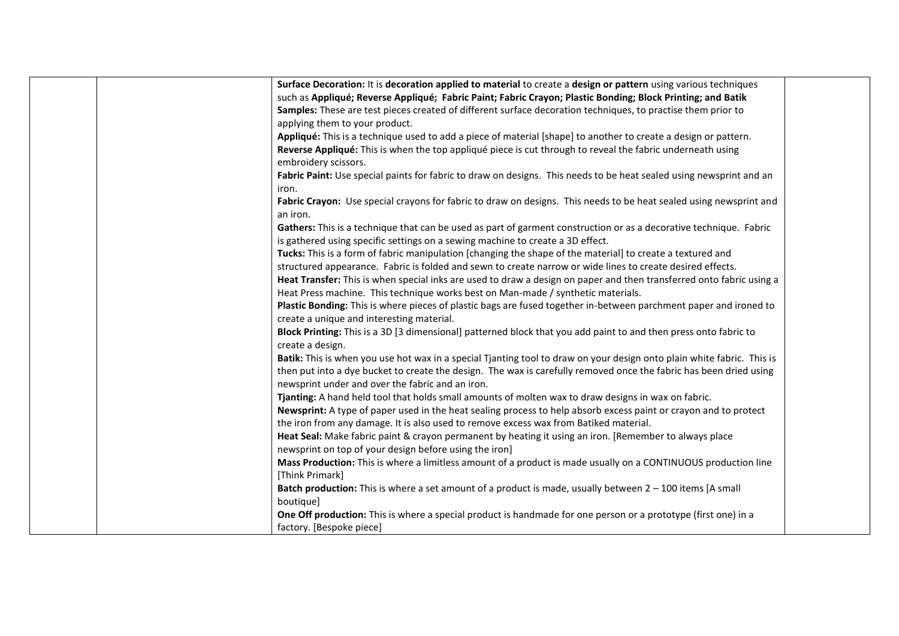| Surface Decoration: It is decoration applied to material to create a design or pattern using various techniques        |  |
|------------------------------------------------------------------------------------------------------------------------|--|
| such as Appliqué; Reverse Appliqué; Fabric Paint; Fabric Crayon; Plastic Bonding; Block Printing; and Batik            |  |
| Samples: These are test pieces created of different surface decoration techniques, to practise them prior to           |  |
| applying them to your product.                                                                                         |  |
| Appliqué: This is a technique used to add a piece of material [shape] to another to create a design or pattern.        |  |
| Reverse Appliqué: This is when the top appliqué piece is cut through to reveal the fabric underneath using             |  |
| embroidery scissors.                                                                                                   |  |
| Fabric Paint: Use special paints for fabric to draw on designs. This needs to be heat sealed using newsprint and an    |  |
| iron.                                                                                                                  |  |
| Fabric Crayon: Use special crayons for fabric to draw on designs. This needs to be heat sealed using newsprint and     |  |
| an iron.                                                                                                               |  |
| Gathers: This is a technique that can be used as part of garment construction or as a decorative technique. Fabric     |  |
| is gathered using specific settings on a sewing machine to create a 3D effect.                                         |  |
| Tucks: This is a form of fabric manipulation [changing the shape of the material] to create a textured and             |  |
| structured appearance. Fabric is folded and sewn to create narrow or wide lines to create desired effects.             |  |
| Heat Transfer: This is when special inks are used to draw a design on paper and then transferred onto fabric using a   |  |
| Heat Press machine. This technique works best on Man-made / synthetic materials.                                       |  |
| Plastic Bonding: This is where pieces of plastic bags are fused together in-between parchment paper and ironed to      |  |
| create a unique and interesting material.                                                                              |  |
| Block Printing: This is a 3D [3 dimensional] patterned block that you add paint to and then press onto fabric to       |  |
| create a design.                                                                                                       |  |
| Batik: This is when you use hot wax in a special Tjanting tool to draw on your design onto plain white fabric. This is |  |
| then put into a dye bucket to create the design. The wax is carefully removed once the fabric has been dried using     |  |
| newsprint under and over the fabric and an iron.                                                                       |  |
| Tjanting: A hand held tool that holds small amounts of molten wax to draw designs in wax on fabric.                    |  |
| Newsprint: A type of paper used in the heat sealing process to help absorb excess paint or crayon and to protect       |  |
| the iron from any damage. It is also used to remove excess wax from Batiked material.                                  |  |
| Heat Seal: Make fabric paint & crayon permanent by heating it using an iron. [Remember to always place                 |  |
| newsprint on top of your design before using the iron]                                                                 |  |
| Mass Production: This is where a limitless amount of a product is made usually on a CONTINUOUS production line         |  |
| [Think Primark]                                                                                                        |  |
| Batch production: This is where a set amount of a product is made, usually between $2 - 100$ items [A small            |  |
| boutique]                                                                                                              |  |
| One Off production: This is where a special product is handmade for one person or a prototype (first one) in a         |  |
| factory. [Bespoke piece]                                                                                               |  |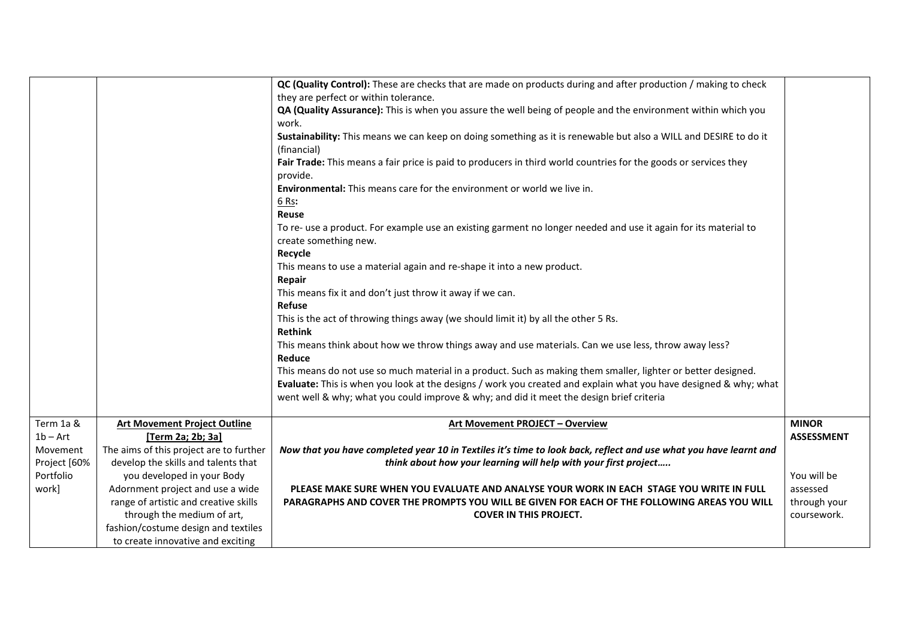|              |                                         | QC (Quality Control): These are checks that are made on products during and after production / making to check   |                   |
|--------------|-----------------------------------------|------------------------------------------------------------------------------------------------------------------|-------------------|
|              |                                         | they are perfect or within tolerance.                                                                            |                   |
|              |                                         |                                                                                                                  |                   |
|              |                                         | QA (Quality Assurance): This is when you assure the well being of people and the environment within which you    |                   |
|              |                                         | work.                                                                                                            |                   |
|              |                                         | Sustainability: This means we can keep on doing something as it is renewable but also a WILL and DESIRE to do it |                   |
|              |                                         | (financial)                                                                                                      |                   |
|              |                                         | Fair Trade: This means a fair price is paid to producers in third world countries for the goods or services they |                   |
|              |                                         | provide.                                                                                                         |                   |
|              |                                         | Environmental: This means care for the environment or world we live in.                                          |                   |
|              |                                         | 6 Rs:                                                                                                            |                   |
|              |                                         | <b>Reuse</b>                                                                                                     |                   |
|              |                                         | To re- use a product. For example use an existing garment no longer needed and use it again for its material to  |                   |
|              |                                         | create something new.                                                                                            |                   |
|              |                                         | Recycle                                                                                                          |                   |
|              |                                         | This means to use a material again and re-shape it into a new product.                                           |                   |
|              |                                         | Repair                                                                                                           |                   |
|              |                                         | This means fix it and don't just throw it away if we can.                                                        |                   |
|              |                                         | <b>Refuse</b>                                                                                                    |                   |
|              |                                         | This is the act of throwing things away (we should limit it) by all the other 5 Rs.                              |                   |
|              |                                         | <b>Rethink</b>                                                                                                   |                   |
|              |                                         | This means think about how we throw things away and use materials. Can we use less, throw away less?             |                   |
|              |                                         | Reduce                                                                                                           |                   |
|              |                                         | This means do not use so much material in a product. Such as making them smaller, lighter or better designed.    |                   |
|              |                                         | Evaluate: This is when you look at the designs / work you created and explain what you have designed & why; what |                   |
|              |                                         | went well & why; what you could improve & why; and did it meet the design brief criteria                         |                   |
|              |                                         |                                                                                                                  |                   |
| Term 1a &    | <b>Art Movement Project Outline</b>     | Art Movement PROJECT - Overview                                                                                  | <b>MINOR</b>      |
| $1b - Art$   | [Term 2a; 2b; 3a]                       |                                                                                                                  | <b>ASSESSMENT</b> |
| Movement     | The aims of this project are to further | Now that you have completed year 10 in Textiles it's time to look back, reflect and use what you have learnt and |                   |
| Project [60% | develop the skills and talents that     | think about how your learning will help with your first project                                                  |                   |
| Portfolio    | you developed in your Body              |                                                                                                                  | You will be       |
| work]        | Adornment project and use a wide        | PLEASE MAKE SURE WHEN YOU EVALUATE AND ANALYSE YOUR WORK IN EACH STAGE YOU WRITE IN FULL                         | assessed          |
|              | range of artistic and creative skills   | PARAGRAPHS AND COVER THE PROMPTS YOU WILL BE GIVEN FOR EACH OF THE FOLLOWING AREAS YOU WILL                      | through your      |
|              | through the medium of art,              | <b>COVER IN THIS PROJECT.</b>                                                                                    | coursework.       |
|              | fashion/costume design and textiles     |                                                                                                                  |                   |
|              | to create innovative and exciting       |                                                                                                                  |                   |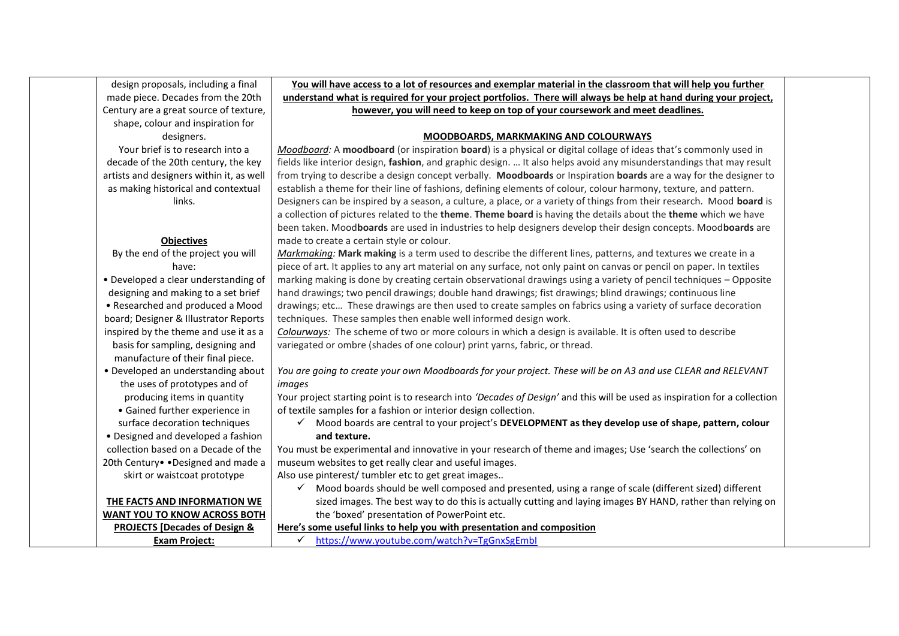| design proposals, including a final      | You will have access to a lot of resources and exemplar material in the classroom that will help you further              |
|------------------------------------------|---------------------------------------------------------------------------------------------------------------------------|
| made piece. Decades from the 20th        | understand what is required for your project portfolios. There will always be help at hand during your project,           |
| Century are a great source of texture,   | however, you will need to keep on top of your coursework and meet deadlines.                                              |
| shape, colour and inspiration for        |                                                                                                                           |
| designers.                               | <b>MOODBOARDS, MARKMAKING AND COLOURWAYS</b>                                                                              |
| Your brief is to research into a         | Moodboard: A moodboard (or inspiration board) is a physical or digital collage of ideas that's commonly used in           |
| decade of the 20th century, the key      | fields like interior design, fashion, and graphic design.  It also helps avoid any misunderstandings that may result      |
| artists and designers within it, as well | from trying to describe a design concept verbally. Moodboards or Inspiration boards are a way for the designer to         |
| as making historical and contextual      | establish a theme for their line of fashions, defining elements of colour, colour harmony, texture, and pattern.          |
| links.                                   | Designers can be inspired by a season, a culture, a place, or a variety of things from their research. Mood board is      |
|                                          | a collection of pictures related to the theme. Theme board is having the details about the theme which we have            |
|                                          | been taken. Moodboards are used in industries to help designers develop their design concepts. Moodboards are             |
| <b>Objectives</b>                        | made to create a certain style or colour.                                                                                 |
| By the end of the project you will       | Markmaking: Mark making is a term used to describe the different lines, patterns, and textures we create in a             |
| have:                                    | piece of art. It applies to any art material on any surface, not only paint on canvas or pencil on paper. In textiles     |
| • Developed a clear understanding of     | marking making is done by creating certain observational drawings using a variety of pencil techniques - Opposite         |
| designing and making to a set brief      | hand drawings; two pencil drawings; double hand drawings; fist drawings; blind drawings; continuous line                  |
| • Researched and produced a Mood         | drawings; etc These drawings are then used to create samples on fabrics using a variety of surface decoration             |
| board; Designer & Illustrator Reports    | techniques. These samples then enable well informed design work.                                                          |
| inspired by the theme and use it as a    | Colourways: The scheme of two or more colours in which a design is available. It is often used to describe                |
| basis for sampling, designing and        | variegated or ombre (shades of one colour) print yarns, fabric, or thread.                                                |
| manufacture of their final piece.        |                                                                                                                           |
| • Developed an understanding about       | You are going to create your own Moodboards for your project. These will be on A3 and use CLEAR and RELEVANT              |
| the uses of prototypes and of            | images                                                                                                                    |
| producing items in quantity              | Your project starting point is to research into 'Decades of Design' and this will be used as inspiration for a collection |
| • Gained further experience in           | of textile samples for a fashion or interior design collection.                                                           |
| surface decoration techniques            | √ Mood boards are central to your project's DEVELOPMENT as they develop use of shape, pattern, colour                     |
| • Designed and developed a fashion       | and texture.                                                                                                              |
| collection based on a Decade of the      | You must be experimental and innovative in your research of theme and images; Use 'search the collections' on             |
| 20th Century .Designed and made a        | museum websites to get really clear and useful images.                                                                    |
| skirt or waistcoat prototype             | Also use pinterest/ tumbler etc to get great images                                                                       |
|                                          | Mood boards should be well composed and presented, using a range of scale (different sized) different<br>$\checkmark$     |
| THE FACTS AND INFORMATION WE             | sized images. The best way to do this is actually cutting and laying images BY HAND, rather than relying on               |
| WANT YOU TO KNOW ACROSS BOTH             | the 'boxed' presentation of PowerPoint etc.                                                                               |
| <b>PROJECTS [Decades of Design &amp;</b> | Here's some useful links to help you with presentation and composition                                                    |
| <b>Exam Project:</b>                     | https://www.youtube.com/watch?v=TgGnxSgEmbl<br>$\checkmark$                                                               |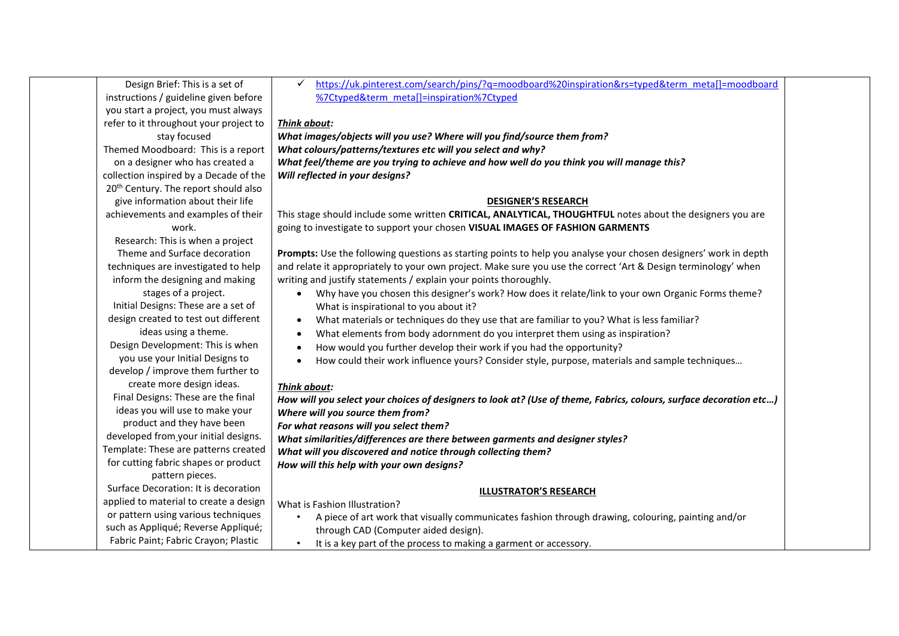| Design Brief: This is a set of                          | https://uk.pinterest.com/search/pins/?q=moodboard%20inspiration&rs=typed&term_meta[]=moodboard<br>✓                |  |
|---------------------------------------------------------|--------------------------------------------------------------------------------------------------------------------|--|
| instructions / guideline given before                   | %7Ctyped&term_meta[]=inspiration%7Ctyped                                                                           |  |
| you start a project, you must always                    |                                                                                                                    |  |
| refer to it throughout your project to                  | <b>Think about:</b>                                                                                                |  |
| stay focused                                            | What images/objects will you use? Where will you find/source them from?                                            |  |
| Themed Moodboard: This is a report                      | What colours/patterns/textures etc will you select and why?                                                        |  |
| on a designer who has created a                         | What feel/theme are you trying to achieve and how well do you think you will manage this?                          |  |
| collection inspired by a Decade of the                  | Will reflected in your designs?                                                                                    |  |
| 20 <sup>th</sup> Century. The report should also        |                                                                                                                    |  |
| give information about their life                       | <b>DESIGNER'S RESEARCH</b>                                                                                         |  |
| achievements and examples of their                      | This stage should include some written CRITICAL, ANALYTICAL, THOUGHTFUL notes about the designers you are          |  |
| work.                                                   | going to investigate to support your chosen VISUAL IMAGES OF FASHION GARMENTS                                      |  |
| Research: This is when a project                        |                                                                                                                    |  |
| Theme and Surface decoration                            | Prompts: Use the following questions as starting points to help you analyse your chosen designers' work in depth   |  |
| techniques are investigated to help                     | and relate it appropriately to your own project. Make sure you use the correct 'Art & Design terminology' when     |  |
| inform the designing and making                         | writing and justify statements / explain your points thoroughly.                                                   |  |
| stages of a project.                                    | Why have you chosen this designer's work? How does it relate/link to your own Organic Forms theme?                 |  |
| Initial Designs: These are a set of                     | What is inspirational to you about it?                                                                             |  |
| design created to test out different                    | What materials or techniques do they use that are familiar to you? What is less familiar?<br>$\bullet$             |  |
| ideas using a theme.                                    | What elements from body adornment do you interpret them using as inspiration?                                      |  |
| Design Development: This is when                        | How would you further develop their work if you had the opportunity?                                               |  |
| you use your Initial Designs to                         | How could their work influence yours? Consider style, purpose, materials and sample techniques                     |  |
| develop / improve them further to                       |                                                                                                                    |  |
| create more design ideas.                               | Think about:                                                                                                       |  |
| Final Designs: These are the final                      | How will you select your choices of designers to look at? (Use of theme, Fabrics, colours, surface decoration etc) |  |
| ideas you will use to make your                         | Where will you source them from?                                                                                   |  |
| product and they have been                              | For what reasons will you select them?                                                                             |  |
| developed from your initial designs.                    | What similarities/differences are there between garments and designer styles?                                      |  |
| Template: These are patterns created                    | What will you discovered and notice through collecting them?                                                       |  |
| for cutting fabric shapes or product                    | How will this help with your own designs?                                                                          |  |
| pattern pieces.<br>Surface Decoration: It is decoration |                                                                                                                    |  |
| applied to material to create a design                  | <b>ILLUSTRATOR'S RESEARCH</b>                                                                                      |  |
| or pattern using various techniques                     | What is Fashion Illustration?                                                                                      |  |
| such as Appliqué; Reverse Appliqué;                     | A piece of art work that visually communicates fashion through drawing, colouring, painting and/or                 |  |
| Fabric Paint; Fabric Crayon; Plastic                    | through CAD (Computer aided design).                                                                               |  |
|                                                         | It is a key part of the process to making a garment or accessory.                                                  |  |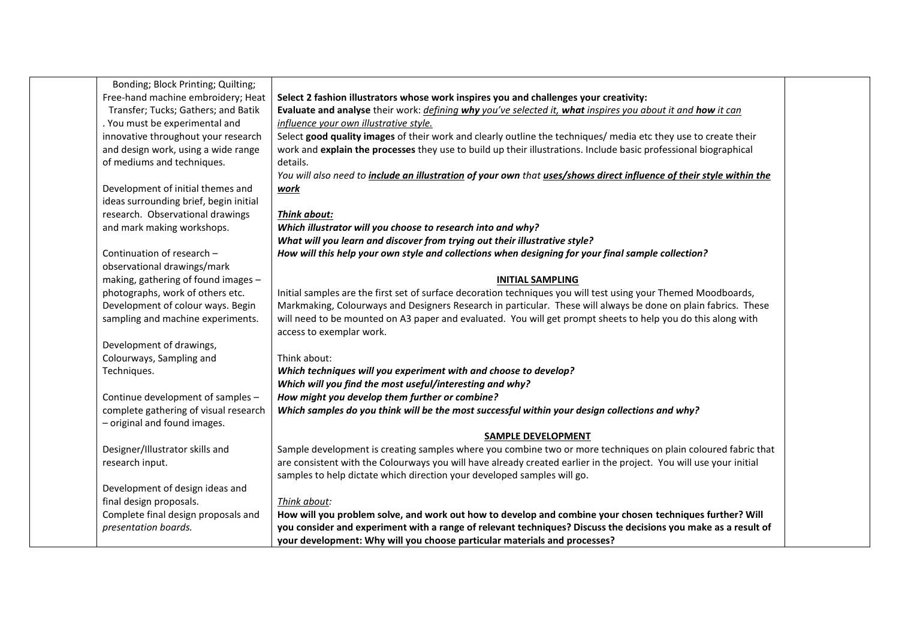| Bonding; Block Printing; Quilting;     |                                                                                                                      |  |
|----------------------------------------|----------------------------------------------------------------------------------------------------------------------|--|
| Free-hand machine embroidery; Heat     | Select 2 fashion illustrators whose work inspires you and challenges your creativity:                                |  |
| Transfer; Tucks; Gathers; and Batik    | Evaluate and analyse their work: <i>defining why you've selected it, what inspires you about it and how it can</i>   |  |
| . You must be experimental and         | influence your own illustrative style.                                                                               |  |
| innovative throughout your research    | Select good quality images of their work and clearly outline the techniques/ media etc they use to create their      |  |
| and design work, using a wide range    | work and explain the processes they use to build up their illustrations. Include basic professional biographical     |  |
| of mediums and techniques.             | details.                                                                                                             |  |
|                                        | You will also need to include an illustration of your own that uses/shows direct influence of their style within the |  |
| Development of initial themes and      | work                                                                                                                 |  |
| ideas surrounding brief, begin initial |                                                                                                                      |  |
| research. Observational drawings       | Think about:                                                                                                         |  |
| and mark making workshops.             | Which illustrator will you choose to research into and why?                                                          |  |
|                                        | What will you learn and discover from trying out their illustrative style?                                           |  |
| Continuation of research -             | How will this help your own style and collections when designing for your final sample collection?                   |  |
| observational drawings/mark            |                                                                                                                      |  |
| making, gathering of found images -    | <b>INITIAL SAMPLING</b>                                                                                              |  |
| photographs, work of others etc.       | Initial samples are the first set of surface decoration techniques you will test using your Themed Moodboards,       |  |
| Development of colour ways. Begin      | Markmaking, Colourways and Designers Research in particular. These will always be done on plain fabrics. These       |  |
| sampling and machine experiments.      | will need to be mounted on A3 paper and evaluated. You will get prompt sheets to help you do this along with         |  |
|                                        | access to exemplar work.                                                                                             |  |
| Development of drawings,               |                                                                                                                      |  |
| Colourways, Sampling and               | Think about:                                                                                                         |  |
| Techniques.                            | Which techniques will you experiment with and choose to develop?                                                     |  |
|                                        | Which will you find the most useful/interesting and why?                                                             |  |
| Continue development of samples -      | How might you develop them further or combine?                                                                       |  |
| complete gathering of visual research  | Which samples do you think will be the most successful within your design collections and why?                       |  |
| - original and found images.           |                                                                                                                      |  |
|                                        | <b>SAMPLE DEVELOPMENT</b>                                                                                            |  |
| Designer/Illustrator skills and        | Sample development is creating samples where you combine two or more techniques on plain coloured fabric that        |  |
| research input.                        | are consistent with the Colourways you will have already created earlier in the project. You will use your initial   |  |
|                                        | samples to help dictate which direction your developed samples will go.                                              |  |
| Development of design ideas and        |                                                                                                                      |  |
| final design proposals.                | Think about:                                                                                                         |  |
| Complete final design proposals and    | How will you problem solve, and work out how to develop and combine your chosen techniques further? Will             |  |
| presentation boards.                   | you consider and experiment with a range of relevant techniques? Discuss the decisions you make as a result of       |  |
|                                        | your development: Why will you choose particular materials and processes?                                            |  |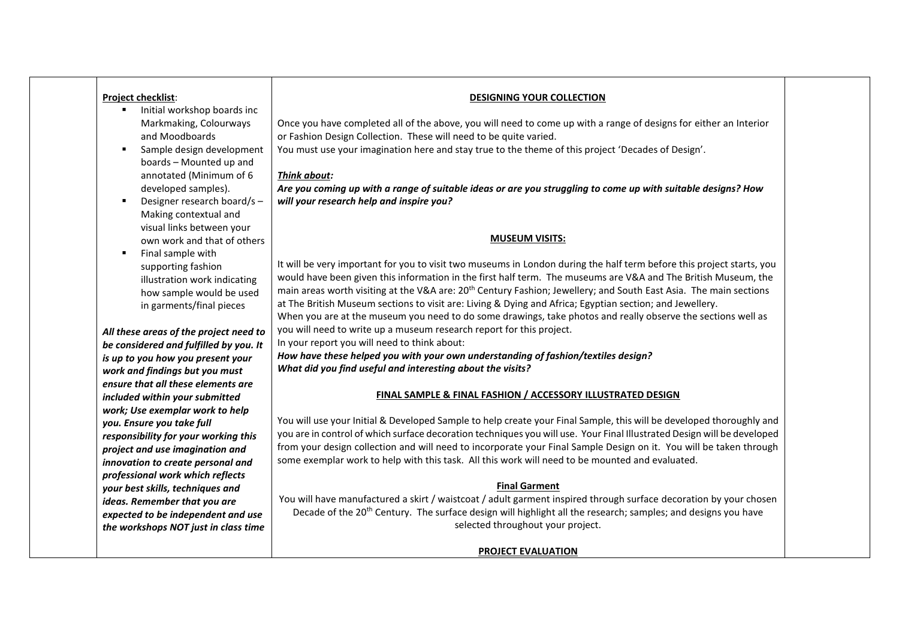| <b>Project checklist:</b><br>Initial workshop boards inc<br>٠ | <b>DESIGNING YOUR COLLECTION</b>                                                                                              |
|---------------------------------------------------------------|-------------------------------------------------------------------------------------------------------------------------------|
| Markmaking, Colourways                                        | Once you have completed all of the above, you will need to come up with a range of designs for either an Interior             |
| and Moodboards                                                | or Fashion Design Collection. These will need to be quite varied.                                                             |
| Sample design development<br>٠                                | You must use your imagination here and stay true to the theme of this project 'Decades of Design'.                            |
| boards - Mounted up and                                       |                                                                                                                               |
| annotated (Minimum of 6                                       | Think about:                                                                                                                  |
| developed samples).                                           | Are you coming up with a range of suitable ideas or are you struggling to come up with suitable designs? How                  |
| Designer research board/s-<br>٠                               | will your research help and inspire you?                                                                                      |
| Making contextual and                                         |                                                                                                                               |
| visual links between your                                     |                                                                                                                               |
| own work and that of others                                   | <b>MUSEUM VISITS:</b>                                                                                                         |
| Final sample with<br>٠                                        | It will be very important for you to visit two museums in London during the half term before this project starts, you         |
| supporting fashion                                            | would have been given this information in the first half term. The museums are V&A and The British Museum, the                |
| illustration work indicating                                  | main areas worth visiting at the V&A are: 20 <sup>th</sup> Century Fashion; Jewellery; and South East Asia. The main sections |
| how sample would be used                                      | at The British Museum sections to visit are: Living & Dying and Africa; Egyptian section; and Jewellery.                      |
| in garments/final pieces                                      | When you are at the museum you need to do some drawings, take photos and really observe the sections well as                  |
| All these areas of the project need to                        | you will need to write up a museum research report for this project.                                                          |
| be considered and fulfilled by you. It                        | In your report you will need to think about:                                                                                  |
| is up to you how you present your                             | How have these helped you with your own understanding of fashion/textiles design?                                             |
| work and findings but you must                                | What did you find useful and interesting about the visits?                                                                    |
| ensure that all these elements are                            |                                                                                                                               |
| included within your submitted                                | <b>FINAL SAMPLE &amp; FINAL FASHION / ACCESSORY ILLUSTRATED DESIGN</b>                                                        |
| work; Use exemplar work to help                               |                                                                                                                               |
| you. Ensure you take full                                     | You will use your Initial & Developed Sample to help create your Final Sample, this will be developed thoroughly and          |
| responsibility for your working this                          | you are in control of which surface decoration techniques you will use. Your Final Illustrated Design will be developed       |
| project and use imagination and                               | from your design collection and will need to incorporate your Final Sample Design on it. You will be taken through            |
| innovation to create personal and                             | some exemplar work to help with this task. All this work will need to be mounted and evaluated.                               |
| professional work which reflects                              |                                                                                                                               |
| your best skills, techniques and                              | <b>Final Garment</b>                                                                                                          |
| ideas. Remember that you are                                  | You will have manufactured a skirt / waistcoat / adult garment inspired through surface decoration by your chosen             |
| expected to be independent and use                            | Decade of the 20 <sup>th</sup> Century. The surface design will highlight all the research; samples; and designs you have     |
| the workshops NOT just in class time                          | selected throughout your project.                                                                                             |
|                                                               | <b>PROJECT EVALUATION</b>                                                                                                     |
|                                                               |                                                                                                                               |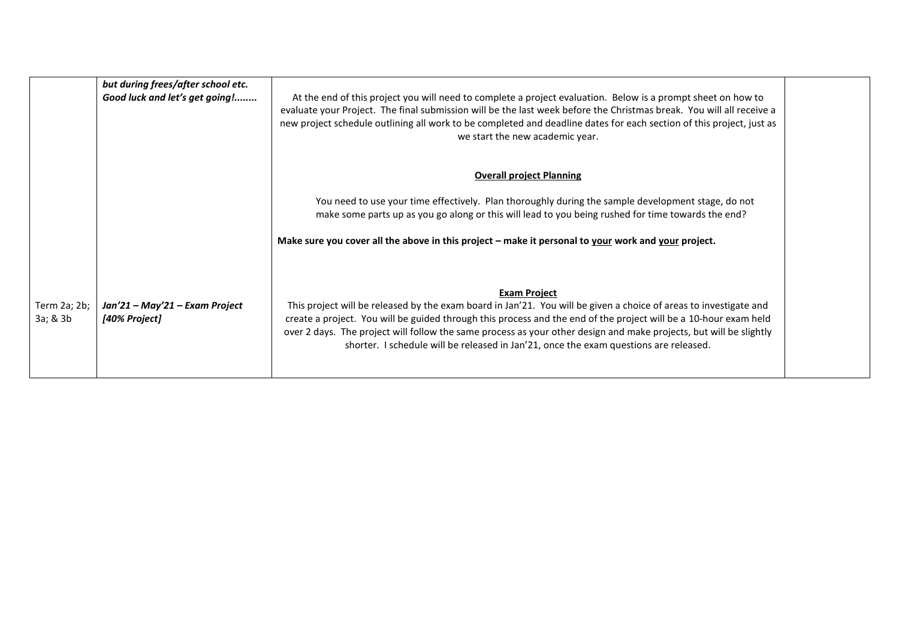|                          | but during frees/after school etc.<br>Good luck and let's get going! | At the end of this project you will need to complete a project evaluation. Below is a prompt sheet on how to<br>evaluate your Project. The final submission will be the last week before the Christmas break. You will all receive a<br>new project schedule outlining all work to be completed and deadline dates for each section of this project, just as<br>we start the new academic year.                                                                             |  |
|--------------------------|----------------------------------------------------------------------|-----------------------------------------------------------------------------------------------------------------------------------------------------------------------------------------------------------------------------------------------------------------------------------------------------------------------------------------------------------------------------------------------------------------------------------------------------------------------------|--|
|                          |                                                                      | <b>Overall project Planning</b>                                                                                                                                                                                                                                                                                                                                                                                                                                             |  |
|                          |                                                                      | You need to use your time effectively. Plan thoroughly during the sample development stage, do not<br>make some parts up as you go along or this will lead to you being rushed for time towards the end?                                                                                                                                                                                                                                                                    |  |
|                          |                                                                      | Make sure you cover all the above in this project - make it personal to your work and your project.                                                                                                                                                                                                                                                                                                                                                                         |  |
| Term 2a; 2b;<br>3a; & 3b | Jan'21 – May'21 – Exam Project<br>[40% Project]                      | <b>Exam Project</b><br>This project will be released by the exam board in Jan'21. You will be given a choice of areas to investigate and<br>create a project. You will be guided through this process and the end of the project will be a 10-hour exam held<br>over 2 days. The project will follow the same process as your other design and make projects, but will be slightly<br>shorter. I schedule will be released in Jan'21, once the exam questions are released. |  |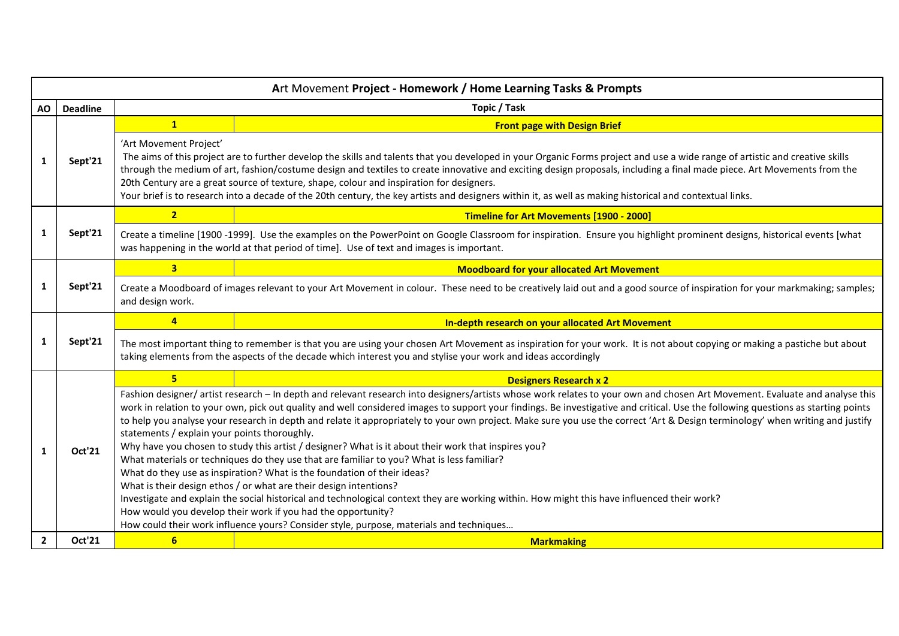|              | Art Movement Project - Homework / Home Learning Tasks & Prompts |                                                                                                                                                                                                                                                                                                                                                                                                                                                                                                                                                                                                                                                                                                                                                                                                                                                                                                                                                                                                                                                                                                                                                                                                                                                                |                                                                                                                                                                                                                                                                                                                                                                                                                                                                                                                                                                                                                 |  |  |
|--------------|-----------------------------------------------------------------|----------------------------------------------------------------------------------------------------------------------------------------------------------------------------------------------------------------------------------------------------------------------------------------------------------------------------------------------------------------------------------------------------------------------------------------------------------------------------------------------------------------------------------------------------------------------------------------------------------------------------------------------------------------------------------------------------------------------------------------------------------------------------------------------------------------------------------------------------------------------------------------------------------------------------------------------------------------------------------------------------------------------------------------------------------------------------------------------------------------------------------------------------------------------------------------------------------------------------------------------------------------|-----------------------------------------------------------------------------------------------------------------------------------------------------------------------------------------------------------------------------------------------------------------------------------------------------------------------------------------------------------------------------------------------------------------------------------------------------------------------------------------------------------------------------------------------------------------------------------------------------------------|--|--|
| AO           | <b>Deadline</b>                                                 | Topic / Task                                                                                                                                                                                                                                                                                                                                                                                                                                                                                                                                                                                                                                                                                                                                                                                                                                                                                                                                                                                                                                                                                                                                                                                                                                                   |                                                                                                                                                                                                                                                                                                                                                                                                                                                                                                                                                                                                                 |  |  |
|              |                                                                 | $\mathbf{1}$                                                                                                                                                                                                                                                                                                                                                                                                                                                                                                                                                                                                                                                                                                                                                                                                                                                                                                                                                                                                                                                                                                                                                                                                                                                   | <b>Front page with Design Brief</b>                                                                                                                                                                                                                                                                                                                                                                                                                                                                                                                                                                             |  |  |
| 1            | Sept'21                                                         | 'Art Movement Project'                                                                                                                                                                                                                                                                                                                                                                                                                                                                                                                                                                                                                                                                                                                                                                                                                                                                                                                                                                                                                                                                                                                                                                                                                                         | The aims of this project are to further develop the skills and talents that you developed in your Organic Forms project and use a wide range of artistic and creative skills<br>through the medium of art, fashion/costume design and textiles to create innovative and exciting design proposals, including a final made piece. Art Movements from the<br>20th Century are a great source of texture, shape, colour and inspiration for designers.<br>Your brief is to research into a decade of the 20th century, the key artists and designers within it, as well as making historical and contextual links. |  |  |
|              |                                                                 | $\overline{2}$                                                                                                                                                                                                                                                                                                                                                                                                                                                                                                                                                                                                                                                                                                                                                                                                                                                                                                                                                                                                                                                                                                                                                                                                                                                 | Timeline for Art Movements [1900 - 2000]                                                                                                                                                                                                                                                                                                                                                                                                                                                                                                                                                                        |  |  |
| $\mathbf{1}$ | Sept'21                                                         |                                                                                                                                                                                                                                                                                                                                                                                                                                                                                                                                                                                                                                                                                                                                                                                                                                                                                                                                                                                                                                                                                                                                                                                                                                                                | Create a timeline [1900 -1999]. Use the examples on the PowerPoint on Google Classroom for inspiration. Ensure you highlight prominent designs, historical events [what<br>was happening in the world at that period of time]. Use of text and images is important.                                                                                                                                                                                                                                                                                                                                             |  |  |
|              | Sept'21                                                         | $\overline{\mathbf{3}}$                                                                                                                                                                                                                                                                                                                                                                                                                                                                                                                                                                                                                                                                                                                                                                                                                                                                                                                                                                                                                                                                                                                                                                                                                                        | <b>Moodboard for your allocated Art Movement</b>                                                                                                                                                                                                                                                                                                                                                                                                                                                                                                                                                                |  |  |
| $\mathbf{1}$ |                                                                 | and design work.                                                                                                                                                                                                                                                                                                                                                                                                                                                                                                                                                                                                                                                                                                                                                                                                                                                                                                                                                                                                                                                                                                                                                                                                                                               | Create a Moodboard of images relevant to your Art Movement in colour. These need to be creatively laid out and a good source of inspiration for your markmaking; samples;                                                                                                                                                                                                                                                                                                                                                                                                                                       |  |  |
|              |                                                                 | $\overline{4}$                                                                                                                                                                                                                                                                                                                                                                                                                                                                                                                                                                                                                                                                                                                                                                                                                                                                                                                                                                                                                                                                                                                                                                                                                                                 | In-depth research on your allocated Art Movement                                                                                                                                                                                                                                                                                                                                                                                                                                                                                                                                                                |  |  |
| 1            | Sept'21                                                         |                                                                                                                                                                                                                                                                                                                                                                                                                                                                                                                                                                                                                                                                                                                                                                                                                                                                                                                                                                                                                                                                                                                                                                                                                                                                | The most important thing to remember is that you are using your chosen Art Movement as inspiration for your work. It is not about copying or making a pastiche but about<br>taking elements from the aspects of the decade which interest you and stylise your work and ideas accordingly                                                                                                                                                                                                                                                                                                                       |  |  |
|              |                                                                 | $5\phantom{a}$                                                                                                                                                                                                                                                                                                                                                                                                                                                                                                                                                                                                                                                                                                                                                                                                                                                                                                                                                                                                                                                                                                                                                                                                                                                 | <b>Designers Research x 2</b>                                                                                                                                                                                                                                                                                                                                                                                                                                                                                                                                                                                   |  |  |
|              | Oct'21                                                          | Fashion designer/artist research - In depth and relevant research into designers/artists whose work relates to your own and chosen Art Movement. Evaluate and analyse this<br>work in relation to your own, pick out quality and well considered images to support your findings. Be investigative and critical. Use the following questions as starting points<br>to help you analyse your research in depth and relate it appropriately to your own project. Make sure you use the correct 'Art & Design terminology' when writing and justify<br>statements / explain your points thoroughly.<br>Why have you chosen to study this artist / designer? What is it about their work that inspires you?<br>What materials or techniques do they use that are familiar to you? What is less familiar?<br>What do they use as inspiration? What is the foundation of their ideas?<br>What is their design ethos / or what are their design intentions?<br>Investigate and explain the social historical and technological context they are working within. How might this have influenced their work?<br>How would you develop their work if you had the opportunity?<br>How could their work influence yours? Consider style, purpose, materials and techniques |                                                                                                                                                                                                                                                                                                                                                                                                                                                                                                                                                                                                                 |  |  |
|              |                                                                 |                                                                                                                                                                                                                                                                                                                                                                                                                                                                                                                                                                                                                                                                                                                                                                                                                                                                                                                                                                                                                                                                                                                                                                                                                                                                |                                                                                                                                                                                                                                                                                                                                                                                                                                                                                                                                                                                                                 |  |  |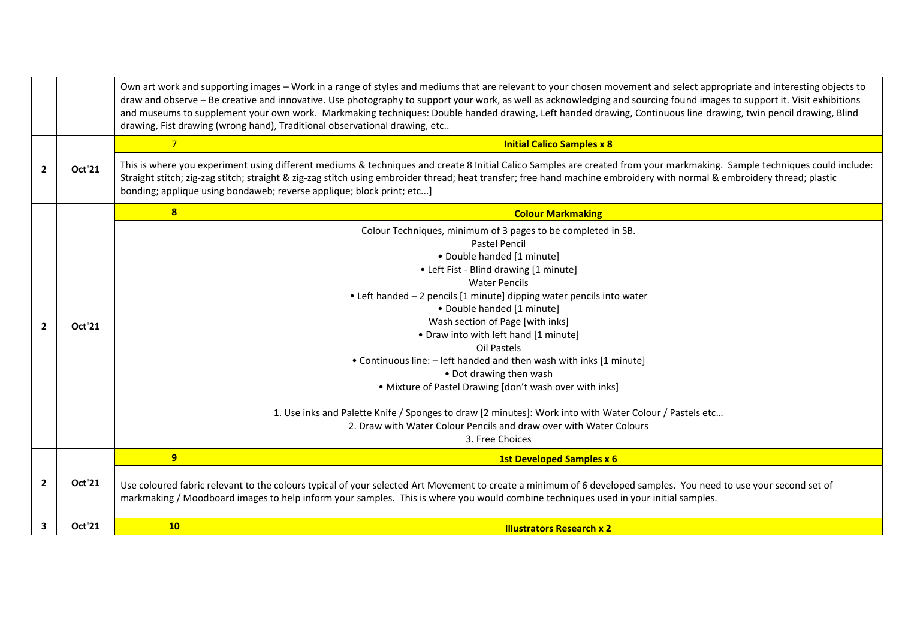|                |               | Own art work and supporting images - Work in a range of styles and mediums that are relevant to your chosen movement and select appropriate and interesting objects to<br>draw and observe - Be creative and innovative. Use photography to support your work, as well as acknowledging and sourcing found images to support it. Visit exhibitions<br>and museums to supplement your own work. Markmaking techniques: Double handed drawing, Left handed drawing, Continuous line drawing, twin pencil drawing, Blind<br>drawing, Fist drawing (wrong hand), Traditional observational drawing, etc                                                                                                                                                     |                                                                                                                                                                                                                                                                                                                                                                                                                              |  |
|----------------|---------------|---------------------------------------------------------------------------------------------------------------------------------------------------------------------------------------------------------------------------------------------------------------------------------------------------------------------------------------------------------------------------------------------------------------------------------------------------------------------------------------------------------------------------------------------------------------------------------------------------------------------------------------------------------------------------------------------------------------------------------------------------------|------------------------------------------------------------------------------------------------------------------------------------------------------------------------------------------------------------------------------------------------------------------------------------------------------------------------------------------------------------------------------------------------------------------------------|--|
|                |               | $\overline{7}$                                                                                                                                                                                                                                                                                                                                                                                                                                                                                                                                                                                                                                                                                                                                          | <b>Initial Calico Samples x 8</b>                                                                                                                                                                                                                                                                                                                                                                                            |  |
| $\mathbf{2}$   | Oct'21        |                                                                                                                                                                                                                                                                                                                                                                                                                                                                                                                                                                                                                                                                                                                                                         | This is where you experiment using different mediums & techniques and create 8 Initial Calico Samples are created from your markmaking. Sample techniques could include:<br>Straight stitch; zig-zag stitch; straight & zig-zag stitch using embroider thread; heat transfer; free hand machine embroidery with normal & embroidery thread; plastic<br>bonding; applique using bondaweb; reverse applique; block print; etc] |  |
|                |               | 8                                                                                                                                                                                                                                                                                                                                                                                                                                                                                                                                                                                                                                                                                                                                                       | <b>Colour Markmaking</b>                                                                                                                                                                                                                                                                                                                                                                                                     |  |
| $\overline{2}$ | Oct'21        | Colour Techniques, minimum of 3 pages to be completed in SB.<br><b>Pastel Pencil</b><br>· Double handed [1 minute]<br>• Left Fist - Blind drawing [1 minute]<br><b>Water Pencils</b><br>• Left handed - 2 pencils [1 minute] dipping water pencils into water<br>• Double handed [1 minute]<br>Wash section of Page [with inks]<br>. Draw into with left hand [1 minute]<br>Oil Pastels<br>• Continuous line: - left handed and then wash with inks [1 minute]<br>• Dot drawing then wash<br>• Mixture of Pastel Drawing [don't wash over with inks]<br>1. Use inks and Palette Knife / Sponges to draw [2 minutes]: Work into with Water Colour / Pastels etc<br>2. Draw with Water Colour Pencils and draw over with Water Colours<br>3. Free Choices |                                                                                                                                                                                                                                                                                                                                                                                                                              |  |
|                |               | 9                                                                                                                                                                                                                                                                                                                                                                                                                                                                                                                                                                                                                                                                                                                                                       | <b>1st Developed Samples x 6</b>                                                                                                                                                                                                                                                                                                                                                                                             |  |
| $\overline{2}$ | <b>Oct'21</b> |                                                                                                                                                                                                                                                                                                                                                                                                                                                                                                                                                                                                                                                                                                                                                         | Use coloured fabric relevant to the colours typical of your selected Art Movement to create a minimum of 6 developed samples. You need to use your second set of<br>markmaking / Moodboard images to help inform your samples. This is where you would combine techniques used in your initial samples.                                                                                                                      |  |
| 3              | Oct'21        | 10                                                                                                                                                                                                                                                                                                                                                                                                                                                                                                                                                                                                                                                                                                                                                      | <b>Illustrators Research x 2</b>                                                                                                                                                                                                                                                                                                                                                                                             |  |